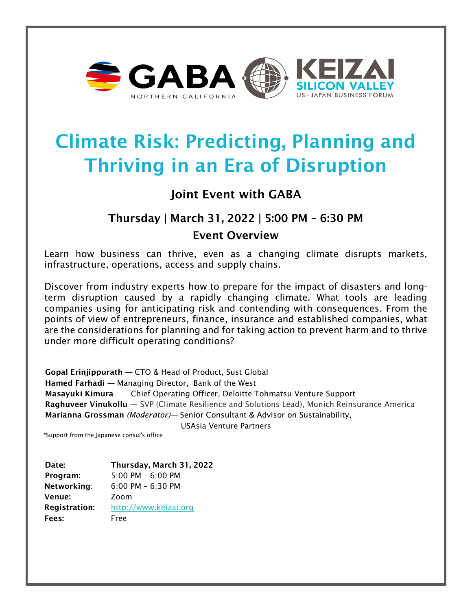

# Climate Risk: Predicting, Planning and Thriving in an Era of Disruption

## Joint Event with GABA

## Thursday | March 31, 2022 | 5:00 PM – 6:30 PM

### Event Overview

Learn how business can thrive, even as a changing climate disrupts markets, infrastructure, operations, access and supply chains.

Discover from industry experts how to prepare for the impact of disasters and longterm disruption caused by a rapidly changing climate. What tools are leading companies using for anticipating risk and contending with consequences. From the points of view of entrepreneurs, finance, insurance and established companies, what are the considerations for planning and for taking action to prevent harm and to thrive under more difficult operating conditions?

Gopal Erinjippurath — CTO & Head of Product, Sust Global Hamed Farhadi — Managing Director, Bank of the West Masayuki Kimura — Chief Operating Officer, Deloitte Tohmatsu Venture Support Raghuveer Vinukollu - SVP (Climate Resilience and Solutions Lead), Munich Reinsurance America Marianna Grossman *(Moderator)—* Senior Consultant & Advisor on Sustainability,

USAsia Venture Partners

\*Support from the Japanese consul's office

Date: Thursday, March 31, 2022 Program: 5:00 PM – 6:00 PM Networking: 6:00 PM – 6:30 PM Venue: Zoom Registration: [http://www.keizai.org](http://www.keizai.org/) Fees: Free